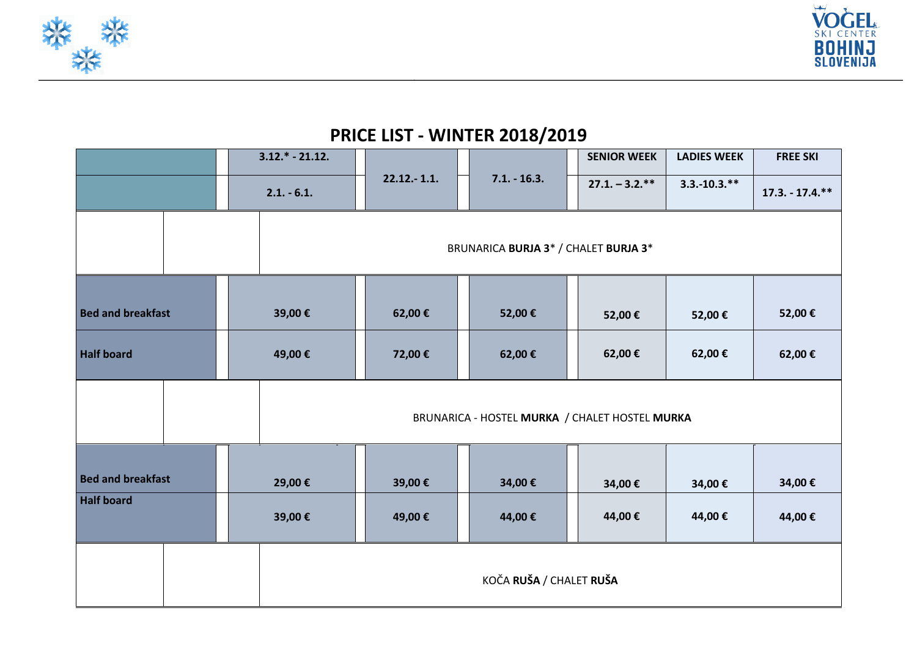



## **PRICE LIST - WINTER 2018/2019**

|                          |  |  | $3.12.* - 21.12.$                              | $22.12 - 1.1.$                       |                |        |                 | <b>SENIOR WEEK</b> | <b>LADIES WEEK</b> | <b>FREE SKI</b> |  |
|--------------------------|--|--|------------------------------------------------|--------------------------------------|----------------|--------|-----------------|--------------------|--------------------|-----------------|--|
|                          |  |  | $2.1. - 6.1.$                                  |                                      | $7.1. - 16.3.$ |        | $27.1 - 3.2.**$ | $3.3.-10.3.**$     | $17.3. - 17.4.**$  |                 |  |
|                          |  |  |                                                | BRUNARICA BURJA 3* / CHALET BURJA 3* |                |        |                 |                    |                    |                 |  |
| <b>Bed and breakfast</b> |  |  | 39,00€                                         | 62,00€                               |                | 52,00€ |                 | 52,00€             | 52,00€             | 52,00€          |  |
| <b>Half board</b>        |  |  | 49,00€                                         | 72,00€                               |                | 62,00€ |                 | 62,00€             | 62,00€             | 62,00€          |  |
|                          |  |  | BRUNARICA - HOSTEL MURKA / CHALET HOSTEL MURKA |                                      |                |        |                 |                    |                    |                 |  |
| <b>Bed and breakfast</b> |  |  | 29,00€                                         | 39,00€                               |                | 34,00€ |                 | 34,00€             | 34,00€             | 34,00€          |  |
| <b>Half board</b>        |  |  | 39,00€                                         | 49,00€                               |                | 44,00€ |                 | 44,00€             | 44,00€             | 44,00€          |  |
|                          |  |  | KOČA RUŠA / CHALET RUŠA                        |                                      |                |        |                 |                    |                    |                 |  |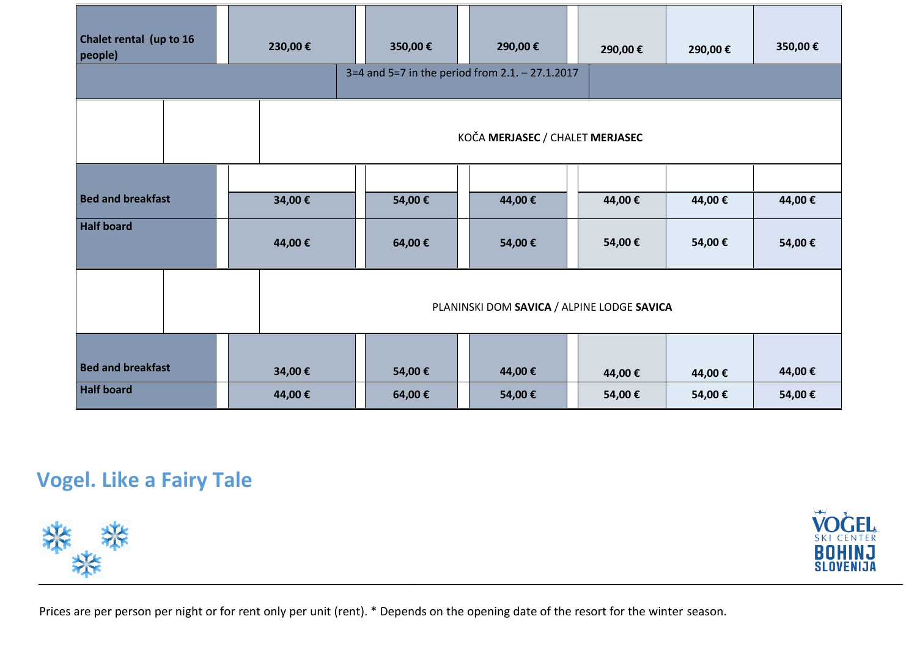| Chalet rental (up to 16<br>people) | 230,00€ | 350,00€                                    | 290,00€                                         | 290,00 € | 290,00€ | 350,00€ |  |  |
|------------------------------------|---------|--------------------------------------------|-------------------------------------------------|----------|---------|---------|--|--|
|                                    |         |                                            | 3=4 and 5=7 in the period from 2.1. - 27.1.2017 |          |         |         |  |  |
|                                    |         | KOČA MERJASEC / CHALET MERJASEC            |                                                 |          |         |         |  |  |
|                                    |         |                                            |                                                 |          |         |         |  |  |
| <b>Bed and breakfast</b>           | 34,00€  | 54,00€                                     | 44,00€                                          | 44,00€   | 44,00€  | 44,00€  |  |  |
| <b>Half board</b>                  | 44,00€  | 64,00€                                     | 54,00€                                          | 54,00€   | 54,00€  | 54,00€  |  |  |
|                                    |         | PLANINSKI DOM SAVICA / ALPINE LODGE SAVICA |                                                 |          |         |         |  |  |
|                                    |         |                                            |                                                 |          |         |         |  |  |
| <b>Bed and breakfast</b>           | 34,00€  | 54,00€                                     | 44,00€                                          | 44,00€   | 44,00€  | 44,00€  |  |  |
| <b>Half board</b>                  | 44,00€  | 64,00€                                     | 54,00€                                          | 54,00€   | 54,00€  | 54,00€  |  |  |

# **Vogel. Like a Fairy Tale**





Prices are per person per night or for rent only per unit (rent). \* Depends on the opening date of the resort for the winter season.